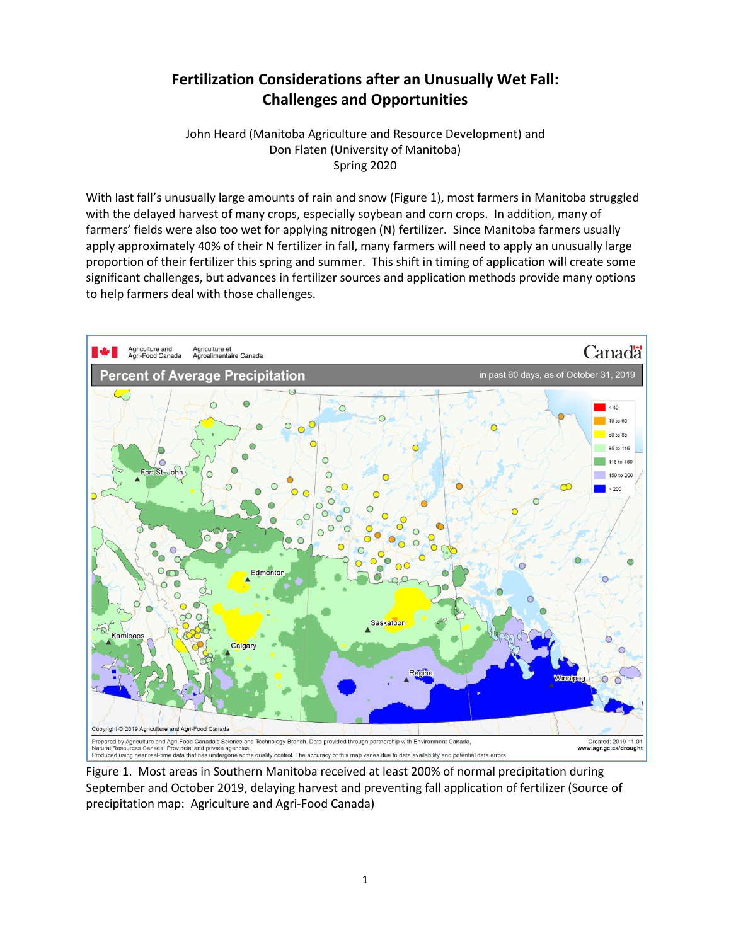# **Fertilization Considerations after an Unusually Wet Fall: Challenges and Opportunities**

John Heard (Manitoba Agriculture and Resource Development) and Don Flaten (University of Manitoba) Spring 2020

With last fall's unusually large amounts of rain and snow (Figure 1), most farmers in Manitoba struggled with the delayed harvest of many crops, especially soybean and corn crops. In addition, many of farmers' fields were also too wet for applying nitrogen (N) fertilizer. Since Manitoba farmers usually apply approximately 40% of their N fertilizer in fall, many farmers will need to apply an unusually large proportion of their fertilizer this spring and summer. This shift in timing of application will create some significant challenges, but advances in fertilizer sources and application methods provide many options to help farmers deal with those challenges.



Figure 1. Most areas in Southern Manitoba received at least 200% of normal precipitation during September and October 2019, delaying harvest and preventing fall application of fertilizer (Source of precipitation map: Agriculture and Agri-Food Canada)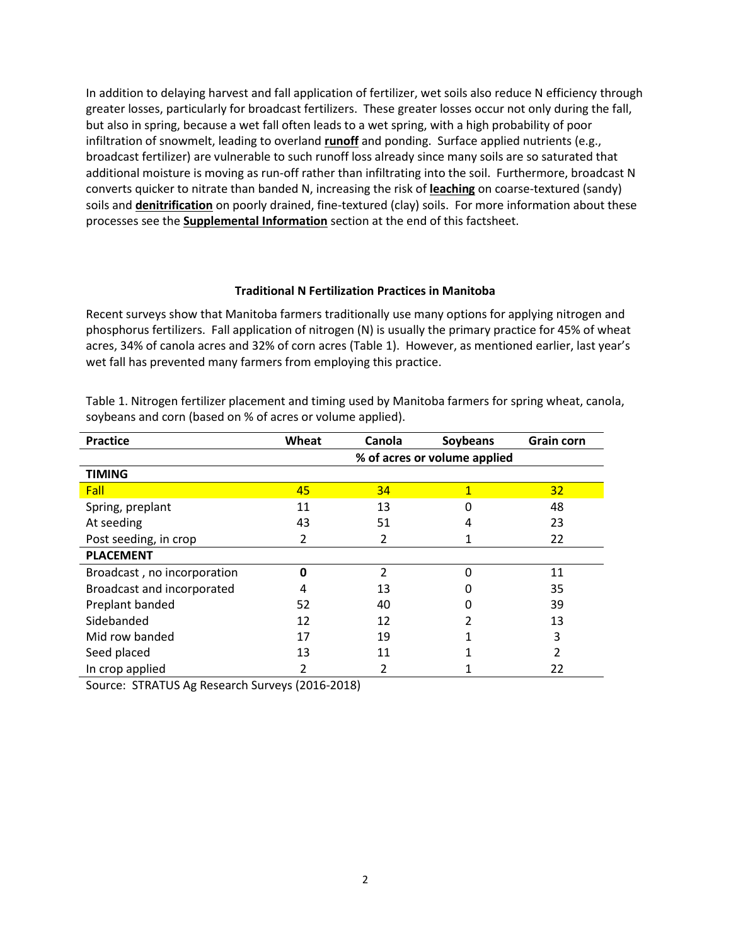In addition to delaying harvest and fall application of fertilizer, wet soils also reduce N efficiency through greater losses, particularly for broadcast fertilizers. These greater losses occur not only during the fall, but also in spring, because a wet fall often leads to a wet spring, with a high probability of poor infiltration of snowmelt, leading to overland **runoff** and ponding. Surface applied nutrients (e.g., broadcast fertilizer) are vulnerable to such runoff loss already since many soils are so saturated that additional moisture is moving as run-off rather than infiltrating into the soil. Furthermore, broadcast N converts quicker to nitrate than banded N, increasing the risk of **leaching** on coarse-textured (sandy) soils and **denitrification** on poorly drained, fine-textured (clay) soils. For more information about these processes see the **Supplemental Information** section at the end of this factsheet.

#### **Traditional N Fertilization Practices in Manitoba**

Recent surveys show that Manitoba farmers traditionally use many options for applying nitrogen and phosphorus fertilizers. Fall application of nitrogen (N) is usually the primary practice for 45% of wheat acres, 34% of canola acres and 32% of corn acres (Table 1). However, as mentioned earlier, last year's wet fall has prevented many farmers from employing this practice.

| <b>Practice</b>             | Wheat                        | Canola         | Soybeans | <b>Grain corn</b> |
|-----------------------------|------------------------------|----------------|----------|-------------------|
|                             | % of acres or volume applied |                |          |                   |
| <b>TIMING</b>               |                              |                |          |                   |
| Fall                        | 45                           | 34             | 1        | 32                |
| Spring, preplant            | 11                           | 13             | 0        | 48                |
| At seeding                  | 43                           | 51             | 4        | 23                |
| Post seeding, in crop       | 2                            | 2              |          | 22                |
| <b>PLACEMENT</b>            |                              |                |          |                   |
| Broadcast, no incorporation | Ω                            | $\mathfrak{p}$ | ი        | 11                |
| Broadcast and incorporated  | 4                            | 13             | 0        | 35                |
| Preplant banded             | 52                           | 40             |          | 39                |
| Sidebanded                  | 12                           | 12             |          | 13                |
| Mid row banded              | 17                           | 19             |          | 3                 |
| Seed placed                 | 13                           | 11             |          | 2                 |
| In crop applied             | 2                            |                |          | 22                |

Table 1. Nitrogen fertilizer placement and timing used by Manitoba farmers for spring wheat, canola, soybeans and corn (based on % of acres or volume applied).

Source: STRATUS Ag Research Surveys (2016-2018)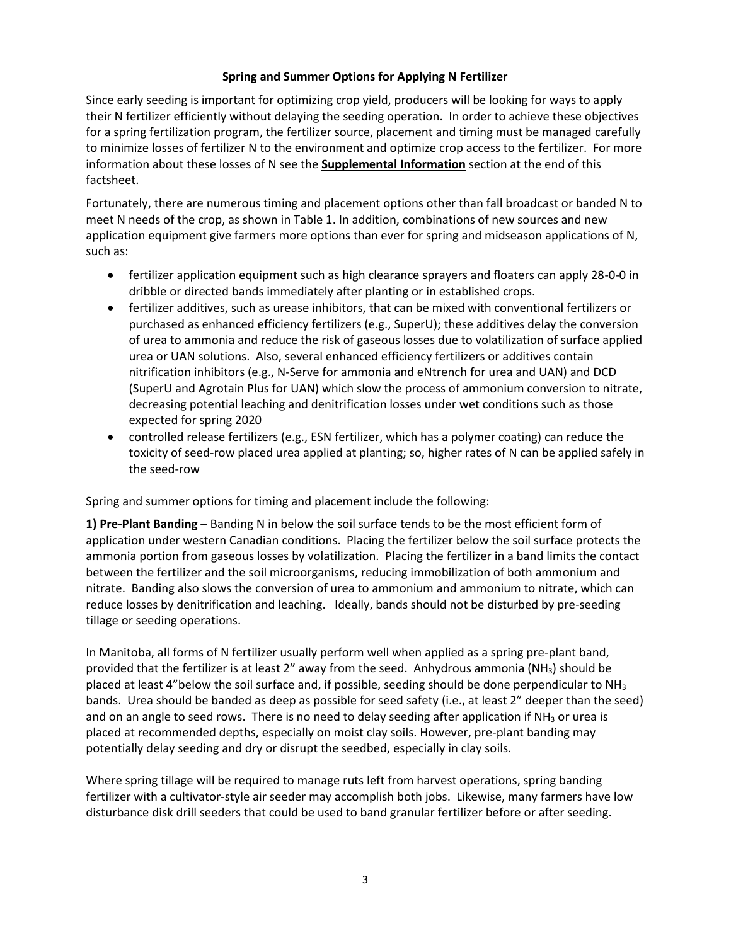#### **Spring and Summer Options for Applying N Fertilizer**

Since early seeding is important for optimizing crop yield, producers will be looking for ways to apply their N fertilizer efficiently without delaying the seeding operation. In order to achieve these objectives for a spring fertilization program, the fertilizer source, placement and timing must be managed carefully to minimize losses of fertilizer N to the environment and optimize crop access to the fertilizer. For more information about these losses of N see the **Supplemental Information** section at the end of this factsheet.

Fortunately, there are numerous timing and placement options other than fall broadcast or banded N to meet N needs of the crop, as shown in Table 1. In addition, combinations of new sources and new application equipment give farmers more options than ever for spring and midseason applications of N, such as:

- fertilizer application equipment such as high clearance sprayers and floaters can apply 28-0-0 in dribble or directed bands immediately after planting or in established crops.
- fertilizer additives, such as urease inhibitors, that can be mixed with conventional fertilizers or purchased as enhanced efficiency fertilizers (e.g., SuperU); these additives delay the conversion of urea to ammonia and reduce the risk of gaseous losses due to volatilization of surface applied urea or UAN solutions. Also, several enhanced efficiency fertilizers or additives contain nitrification inhibitors (e.g., N-Serve for ammonia and eNtrench for urea and UAN) and DCD (SuperU and Agrotain Plus for UAN) which slow the process of ammonium conversion to nitrate, decreasing potential leaching and denitrification losses under wet conditions such as those expected for spring 2020
- controlled release fertilizers (e.g., ESN fertilizer, which has a polymer coating) can reduce the toxicity of seed-row placed urea applied at planting; so, higher rates of N can be applied safely in the seed-row

Spring and summer options for timing and placement include the following:

**1) Pre-Plant Banding** – Banding N in below the soil surface tends to be the most efficient form of application under western Canadian conditions. Placing the fertilizer below the soil surface protects the ammonia portion from gaseous losses by volatilization. Placing the fertilizer in a band limits the contact between the fertilizer and the soil microorganisms, reducing immobilization of both ammonium and nitrate. Banding also slows the conversion of urea to ammonium and ammonium to nitrate, which can reduce losses by denitrification and leaching. Ideally, bands should not be disturbed by pre-seeding tillage or seeding operations.

In Manitoba, all forms of N fertilizer usually perform well when applied as a spring pre-plant band, provided that the fertilizer is at least 2" away from the seed. Anhydrous ammonia (NH3) should be placed at least 4"below the soil surface and, if possible, seeding should be done perpendicular to  $NH<sub>3</sub>$ bands. Urea should be banded as deep as possible for seed safety (i.e., at least 2" deeper than the seed) and on an angle to seed rows. There is no need to delay seeding after application if  $NH<sub>3</sub>$  or urea is placed at recommended depths, especially on moist clay soils. However, pre-plant banding may potentially delay seeding and dry or disrupt the seedbed, especially in clay soils.

Where spring tillage will be required to manage ruts left from harvest operations, spring banding fertilizer with a cultivator-style air seeder may accomplish both jobs. Likewise, many farmers have low disturbance disk drill seeders that could be used to band granular fertilizer before or after seeding.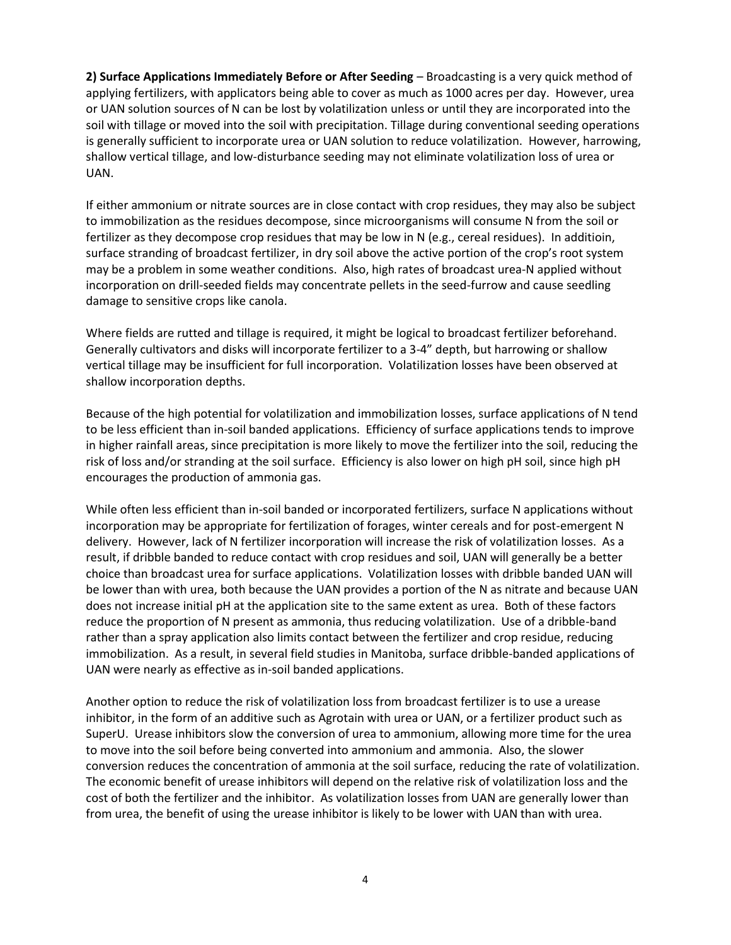**2) Surface Applications Immediately Before or After Seeding** – Broadcasting is a very quick method of applying fertilizers, with applicators being able to cover as much as 1000 acres per day. However, urea or UAN solution sources of N can be lost by volatilization unless or until they are incorporated into the soil with tillage or moved into the soil with precipitation. Tillage during conventional seeding operations is generally sufficient to incorporate urea or UAN solution to reduce volatilization. However, harrowing, shallow vertical tillage, and low-disturbance seeding may not eliminate volatilization loss of urea or UAN.

If either ammonium or nitrate sources are in close contact with crop residues, they may also be subject to immobilization as the residues decompose, since microorganisms will consume N from the soil or fertilizer as they decompose crop residues that may be low in N (e.g., cereal residues). In additioin, surface stranding of broadcast fertilizer, in dry soil above the active portion of the crop's root system may be a problem in some weather conditions. Also, high rates of broadcast urea-N applied without incorporation on drill-seeded fields may concentrate pellets in the seed-furrow and cause seedling damage to sensitive crops like canola.

Where fields are rutted and tillage is required, it might be logical to broadcast fertilizer beforehand. Generally cultivators and disks will incorporate fertilizer to a 3-4" depth, but harrowing or shallow vertical tillage may be insufficient for full incorporation. Volatilization losses have been observed at shallow incorporation depths.

Because of the high potential for volatilization and immobilization losses, surface applications of N tend to be less efficient than in-soil banded applications. Efficiency of surface applications tends to improve in higher rainfall areas, since precipitation is more likely to move the fertilizer into the soil, reducing the risk of loss and/or stranding at the soil surface. Efficiency is also lower on high pH soil, since high pH encourages the production of ammonia gas.

While often less efficient than in-soil banded or incorporated fertilizers, surface N applications without incorporation may be appropriate for fertilization of forages, winter cereals and for post-emergent N delivery. However, lack of N fertilizer incorporation will increase the risk of volatilization losses. As a result, if dribble banded to reduce contact with crop residues and soil, UAN will generally be a better choice than broadcast urea for surface applications. Volatilization losses with dribble banded UAN will be lower than with urea, both because the UAN provides a portion of the N as nitrate and because UAN does not increase initial pH at the application site to the same extent as urea. Both of these factors reduce the proportion of N present as ammonia, thus reducing volatilization. Use of a dribble-band rather than a spray application also limits contact between the fertilizer and crop residue, reducing immobilization. As a result, in several field studies in Manitoba, surface dribble-banded applications of UAN were nearly as effective as in-soil banded applications.

Another option to reduce the risk of volatilization loss from broadcast fertilizer is to use a urease inhibitor, in the form of an additive such as Agrotain with urea or UAN, or a fertilizer product such as SuperU. Urease inhibitors slow the conversion of urea to ammonium, allowing more time for the urea to move into the soil before being converted into ammonium and ammonia. Also, the slower conversion reduces the concentration of ammonia at the soil surface, reducing the rate of volatilization. The economic benefit of urease inhibitors will depend on the relative risk of volatilization loss and the cost of both the fertilizer and the inhibitor. As volatilization losses from UAN are generally lower than from urea, the benefit of using the urease inhibitor is likely to be lower with UAN than with urea.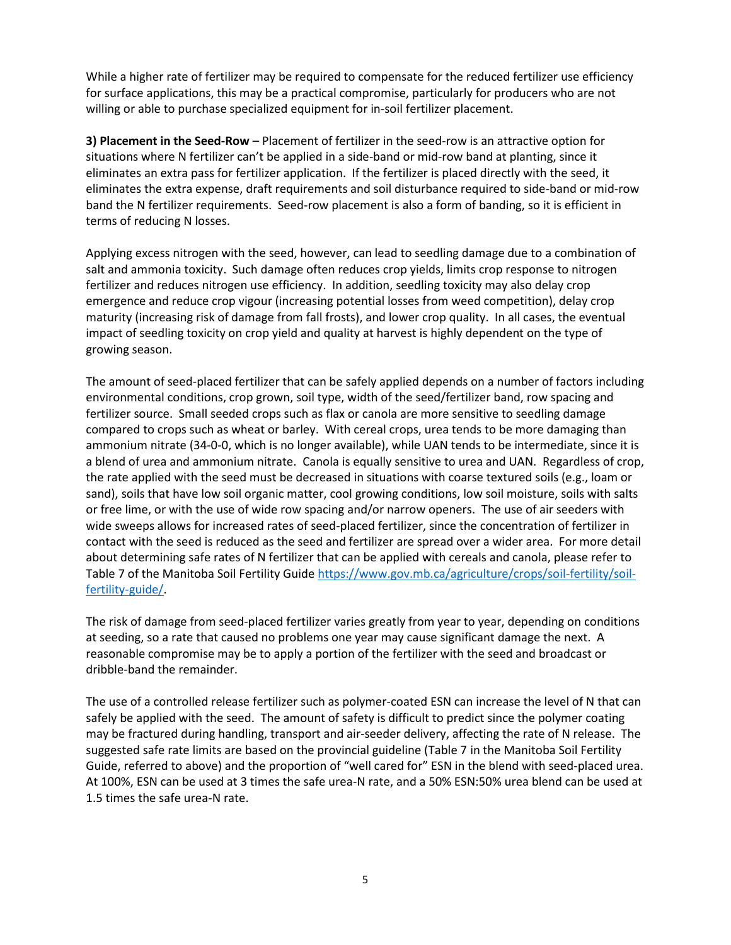While a higher rate of fertilizer may be required to compensate for the reduced fertilizer use efficiency for surface applications, this may be a practical compromise, particularly for producers who are not willing or able to purchase specialized equipment for in-soil fertilizer placement.

**3) Placement in the Seed-Row** – Placement of fertilizer in the seed-row is an attractive option for situations where N fertilizer can't be applied in a side-band or mid-row band at planting, since it eliminates an extra pass for fertilizer application. If the fertilizer is placed directly with the seed, it eliminates the extra expense, draft requirements and soil disturbance required to side-band or mid-row band the N fertilizer requirements. Seed-row placement is also a form of banding, so it is efficient in terms of reducing N losses.

Applying excess nitrogen with the seed, however, can lead to seedling damage due to a combination of salt and ammonia toxicity. Such damage often reduces crop yields, limits crop response to nitrogen fertilizer and reduces nitrogen use efficiency. In addition, seedling toxicity may also delay crop emergence and reduce crop vigour (increasing potential losses from weed competition), delay crop maturity (increasing risk of damage from fall frosts), and lower crop quality. In all cases, the eventual impact of seedling toxicity on crop yield and quality at harvest is highly dependent on the type of growing season.

The amount of seed-placed fertilizer that can be safely applied depends on a number of factors including environmental conditions, crop grown, soil type, width of the seed/fertilizer band, row spacing and fertilizer source. Small seeded crops such as flax or canola are more sensitive to seedling damage compared to crops such as wheat or barley. With cereal crops, urea tends to be more damaging than ammonium nitrate (34-0-0, which is no longer available), while UAN tends to be intermediate, since it is a blend of urea and ammonium nitrate. Canola is equally sensitive to urea and UAN. Regardless of crop, the rate applied with the seed must be decreased in situations with coarse textured soils (e.g., loam or sand), soils that have low soil organic matter, cool growing conditions, low soil moisture, soils with salts or free lime, or with the use of wide row spacing and/or narrow openers. The use of air seeders with wide sweeps allows for increased rates of seed-placed fertilizer, since the concentration of fertilizer in contact with the seed is reduced as the seed and fertilizer are spread over a wider area. For more detail about determining safe rates of N fertilizer that can be applied with cereals and canola, please refer to Table 7 of the Manitoba Soil Fertility Guide [https://www.gov.mb.ca/agriculture/crops/soil-fertility/soil](https://www.gov.mb.ca/agriculture/crops/soil-fertility/soil-fertility-guide/)[fertility-guide/.](https://www.gov.mb.ca/agriculture/crops/soil-fertility/soil-fertility-guide/)

The risk of damage from seed-placed fertilizer varies greatly from year to year, depending on conditions at seeding, so a rate that caused no problems one year may cause significant damage the next. A reasonable compromise may be to apply a portion of the fertilizer with the seed and broadcast or dribble-band the remainder.

The use of a controlled release fertilizer such as polymer-coated ESN can increase the level of N that can safely be applied with the seed. The amount of safety is difficult to predict since the polymer coating may be fractured during handling, transport and air-seeder delivery, affecting the rate of N release. The suggested safe rate limits are based on the provincial guideline (Table 7 in the Manitoba Soil Fertility Guide, referred to above) and the proportion of "well cared for" ESN in the blend with seed-placed urea. At 100%, ESN can be used at 3 times the safe urea-N rate, and a 50% ESN:50% urea blend can be used at 1.5 times the safe urea-N rate.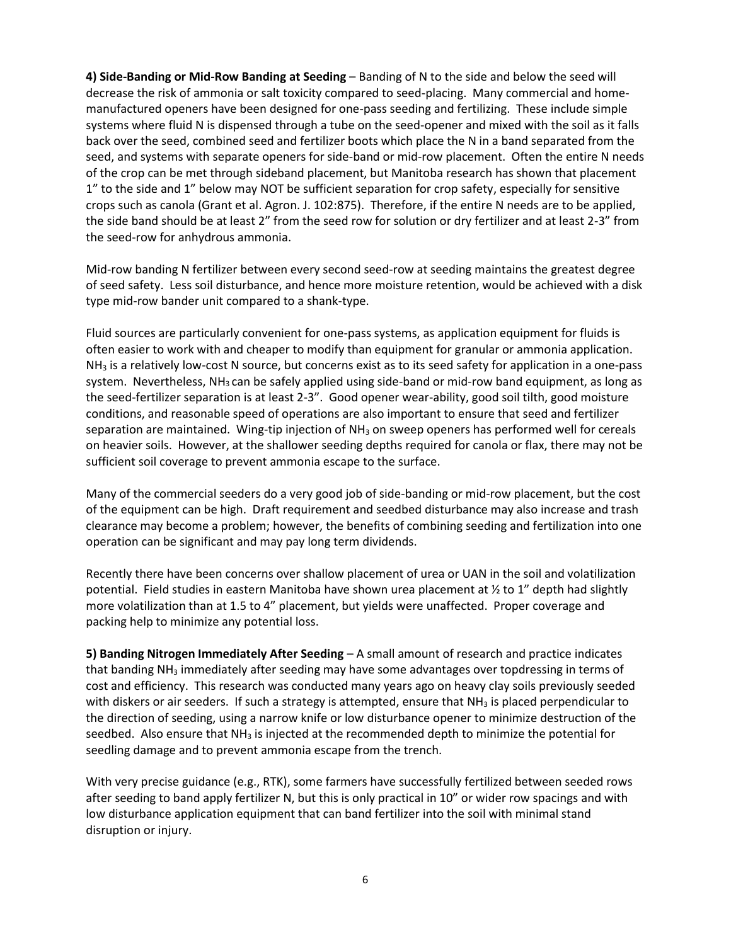**4) Side-Banding or Mid-Row Banding at Seeding** – Banding of N to the side and below the seed will decrease the risk of ammonia or salt toxicity compared to seed-placing. Many commercial and homemanufactured openers have been designed for one-pass seeding and fertilizing. These include simple systems where fluid N is dispensed through a tube on the seed-opener and mixed with the soil as it falls back over the seed, combined seed and fertilizer boots which place the N in a band separated from the seed, and systems with separate openers for side-band or mid-row placement. Often the entire N needs of the crop can be met through sideband placement, but Manitoba research has shown that placement 1" to the side and 1" below may NOT be sufficient separation for crop safety, especially for sensitive crops such as canola (Grant et al. Agron. J. 102:875). Therefore, if the entire N needs are to be applied, the side band should be at least 2" from the seed row for solution or dry fertilizer and at least 2-3" from the seed-row for anhydrous ammonia.

Mid-row banding N fertilizer between every second seed-row at seeding maintains the greatest degree of seed safety. Less soil disturbance, and hence more moisture retention, would be achieved with a disk type mid-row bander unit compared to a shank-type.

Fluid sources are particularly convenient for one-pass systems, as application equipment for fluids is often easier to work with and cheaper to modify than equipment for granular or ammonia application.  $NH<sub>3</sub>$  is a relatively low-cost N source, but concerns exist as to its seed safety for application in a one-pass system. Nevertheless,  $NH<sub>3</sub>$  can be safely applied using side-band or mid-row band equipment, as long as the seed-fertilizer separation is at least 2-3". Good opener wear-ability, good soil tilth, good moisture conditions, and reasonable speed of operations are also important to ensure that seed and fertilizer separation are maintained. Wing-tip injection of NH<sub>3</sub> on sweep openers has performed well for cereals on heavier soils. However, at the shallower seeding depths required for canola or flax, there may not be sufficient soil coverage to prevent ammonia escape to the surface.

Many of the commercial seeders do a very good job of side-banding or mid-row placement, but the cost of the equipment can be high. Draft requirement and seedbed disturbance may also increase and trash clearance may become a problem; however, the benefits of combining seeding and fertilization into one operation can be significant and may pay long term dividends.

Recently there have been concerns over shallow placement of urea or UAN in the soil and volatilization potential. Field studies in eastern Manitoba have shown urea placement at ½ to 1" depth had slightly more volatilization than at 1.5 to 4" placement, but yields were unaffected. Proper coverage and packing help to minimize any potential loss.

**5) Banding Nitrogen Immediately After Seeding** – A small amount of research and practice indicates that banding NH<sub>3</sub> immediately after seeding may have some advantages over topdressing in terms of cost and efficiency. This research was conducted many years ago on heavy clay soils previously seeded with diskers or air seeders. If such a strategy is attempted, ensure that  $NH<sub>3</sub>$  is placed perpendicular to the direction of seeding, using a narrow knife or low disturbance opener to minimize destruction of the seedbed. Also ensure that NH<sub>3</sub> is injected at the recommended depth to minimize the potential for seedling damage and to prevent ammonia escape from the trench.

With very precise guidance (e.g., RTK), some farmers have successfully fertilized between seeded rows after seeding to band apply fertilizer N, but this is only practical in 10" or wider row spacings and with low disturbance application equipment that can band fertilizer into the soil with minimal stand disruption or injury.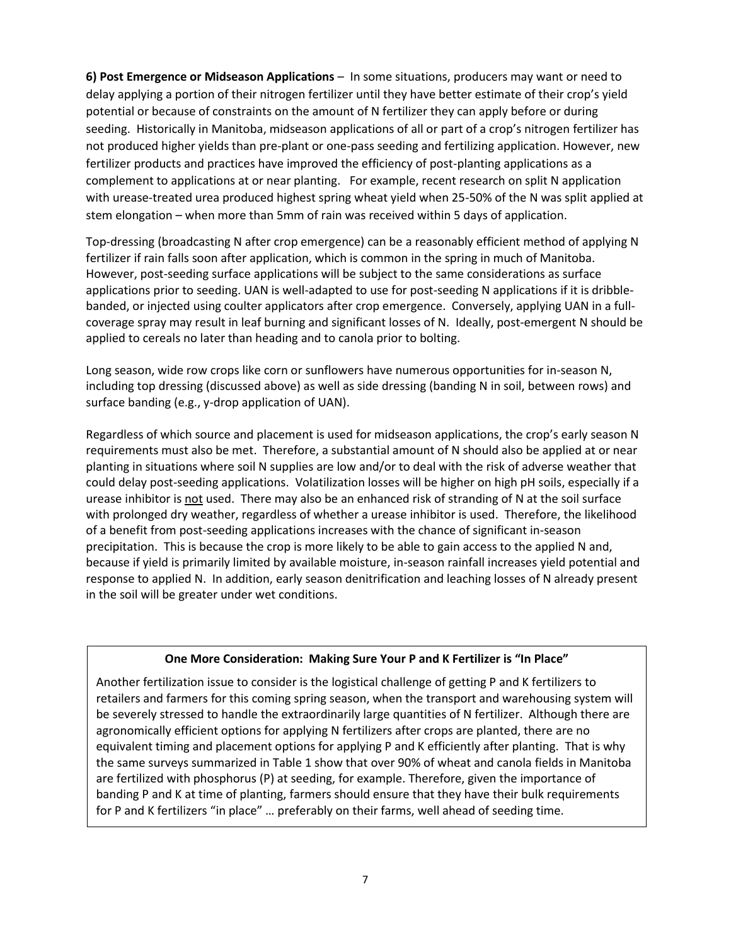**6) Post Emergence or Midseason Applications** – In some situations, producers may want or need to delay applying a portion of their nitrogen fertilizer until they have better estimate of their crop's yield potential or because of constraints on the amount of N fertilizer they can apply before or during seeding. Historically in Manitoba, midseason applications of all or part of a crop's nitrogen fertilizer has not produced higher yields than pre-plant or one-pass seeding and fertilizing application. However, new fertilizer products and practices have improved the efficiency of post-planting applications as a complement to applications at or near planting. For example, recent research on split N application with urease-treated urea produced highest spring wheat yield when 25-50% of the N was split applied at stem elongation – when more than 5mm of rain was received within 5 days of application.

Top-dressing (broadcasting N after crop emergence) can be a reasonably efficient method of applying N fertilizer if rain falls soon after application, which is common in the spring in much of Manitoba. However, post-seeding surface applications will be subject to the same considerations as surface applications prior to seeding. UAN is well-adapted to use for post-seeding N applications if it is dribblebanded, or injected using coulter applicators after crop emergence. Conversely, applying UAN in a fullcoverage spray may result in leaf burning and significant losses of N. Ideally, post-emergent N should be applied to cereals no later than heading and to canola prior to bolting.

Long season, wide row crops like corn or sunflowers have numerous opportunities for in-season N, including top dressing (discussed above) as well as side dressing (banding N in soil, between rows) and surface banding (e.g., y-drop application of UAN).

Regardless of which source and placement is used for midseason applications, the crop's early season N requirements must also be met. Therefore, a substantial amount of N should also be applied at or near planting in situations where soil N supplies are low and/or to deal with the risk of adverse weather that could delay post-seeding applications. Volatilization losses will be higher on high pH soils, especially if a urease inhibitor is not used. There may also be an enhanced risk of stranding of N at the soil surface with prolonged dry weather, regardless of whether a urease inhibitor is used. Therefore, the likelihood of a benefit from post-seeding applications increases with the chance of significant in-season precipitation. This is because the crop is more likely to be able to gain access to the applied N and, because if yield is primarily limited by available moisture, in-season rainfall increases yield potential and response to applied N. In addition, early season denitrification and leaching losses of N already present in the soil will be greater under wet conditions.

#### **One More Consideration: Making Sure Your P and K Fertilizer is "In Place"**

Another fertilization issue to consider is the logistical challenge of getting P and K fertilizers to retailers and farmers for this coming spring season, when the transport and warehousing system will be severely stressed to handle the extraordinarily large quantities of N fertilizer. Although there are agronomically efficient options for applying N fertilizers after crops are planted, there are no equivalent timing and placement options for applying P and K efficiently after planting. That is why the same surveys summarized in Table 1 show that over 90% of wheat and canola fields in Manitoba are fertilized with phosphorus (P) at seeding, for example. Therefore, given the importance of banding P and K at time of planting, farmers should ensure that they have their bulk requirements for P and K fertilizers "in place" … preferably on their farms, well ahead of seeding time.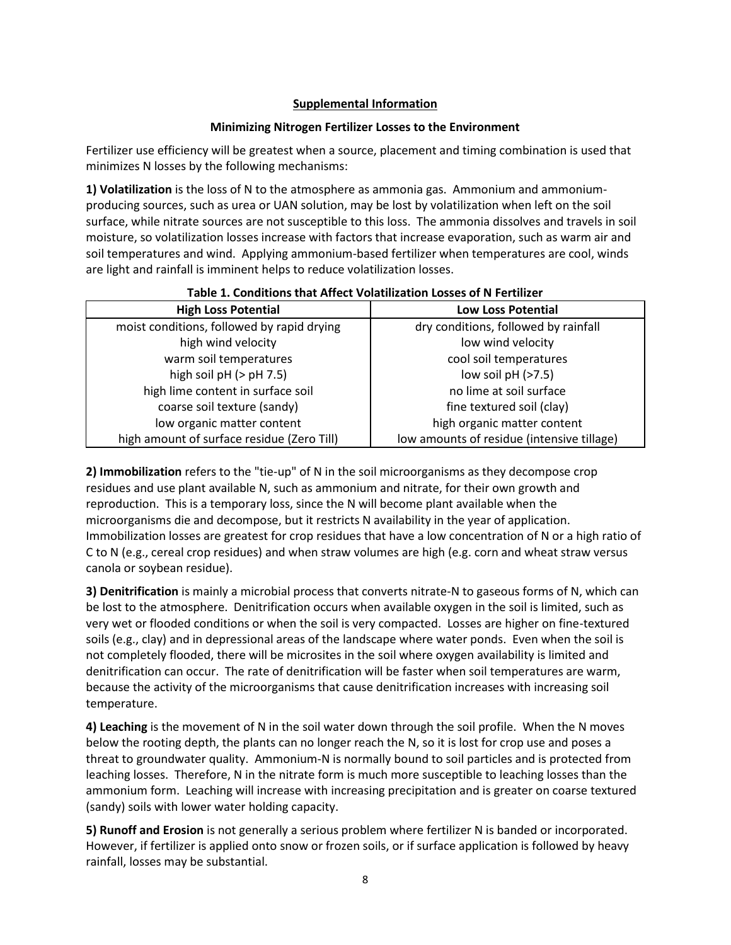### **Supplemental Information**

#### **Minimizing Nitrogen Fertilizer Losses to the Environment**

Fertilizer use efficiency will be greatest when a source, placement and timing combination is used that minimizes N losses by the following mechanisms:

**1) Volatilization** is the loss of N to the atmosphere as ammonia gas. Ammonium and ammoniumproducing sources, such as urea or UAN solution, may be lost by volatilization when left on the soil surface, while nitrate sources are not susceptible to this loss. The ammonia dissolves and travels in soil moisture, so volatilization losses increase with factors that increase evaporation, such as warm air and soil temperatures and wind. Applying ammonium-based fertilizer when temperatures are cool, winds are light and rainfall is imminent helps to reduce volatilization losses.

| Table 1. Conditions that Affect Volatinzation Losses of N Fertinzen |                                      |  |  |  |
|---------------------------------------------------------------------|--------------------------------------|--|--|--|
| <b>High Loss Potential</b>                                          | <b>Low Loss Potential</b>            |  |  |  |
| moist conditions, followed by rapid drying                          | dry conditions, followed by rainfall |  |  |  |
| high wind velocity                                                  | low wind velocity                    |  |  |  |

warm soil temperatures high soil  $pH$  ( $>$   $pH$  7.5) high lime content in surface soil coarse soil texture (sandy) low organic matter content high amount of surface residue (Zero Till)

## **Table 1. Conditions that Affect Volatilization Losses of N Fertilizer**

cool soil temperatures low soil  $pH$  ( $>7.5$ ) no lime at soil surface fine textured soil (clay) high organic matter content low amounts of residue (intensive tillage)

**2) Immobilization** refers to the "tie-up" of N in the soil microorganisms as they decompose crop residues and use plant available N, such as ammonium and nitrate, for their own growth and reproduction. This is a temporary loss, since the N will become plant available when the microorganisms die and decompose, but it restricts N availability in the year of application. Immobilization losses are greatest for crop residues that have a low concentration of N or a high ratio of C to N (e.g., cereal crop residues) and when straw volumes are high (e.g. corn and wheat straw versus canola or soybean residue).

**3) Denitrification** is mainly a microbial process that converts nitrate-N to gaseous forms of N, which can be lost to the atmosphere. Denitrification occurs when available oxygen in the soil is limited, such as very wet or flooded conditions or when the soil is very compacted. Losses are higher on fine-textured soils (e.g., clay) and in depressional areas of the landscape where water ponds. Even when the soil is not completely flooded, there will be microsites in the soil where oxygen availability is limited and denitrification can occur. The rate of denitrification will be faster when soil temperatures are warm, because the activity of the microorganisms that cause denitrification increases with increasing soil temperature.

**4) Leaching** is the movement of N in the soil water down through the soil profile. When the N moves below the rooting depth, the plants can no longer reach the N, so it is lost for crop use and poses a threat to groundwater quality. Ammonium-N is normally bound to soil particles and is protected from leaching losses. Therefore, N in the nitrate form is much more susceptible to leaching losses than the ammonium form. Leaching will increase with increasing precipitation and is greater on coarse textured (sandy) soils with lower water holding capacity.

**5) Runoff and Erosion** is not generally a serious problem where fertilizer N is banded or incorporated. However, if fertilizer is applied onto snow or frozen soils, or if surface application is followed by heavy rainfall, losses may be substantial.